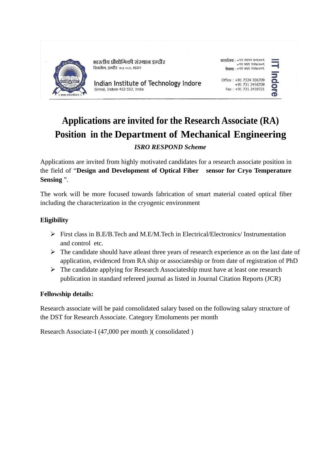

भारतीय प्रौद्योगिकी संस्थान डन्दौर शिमरोल, इन्दौर ४५३ ५५२, भारत

Indian Institute of Technology Indore Simrol, Indore 453 552, India

| कार्यालय : +९१ ७३२४ ३०६७०९ |  |                        |
|----------------------------|--|------------------------|
|                            |  | 90036899994            |
|                            |  | 9993589 989 994 : 1909 |

Office: +91 7324 306709 +91 731 2438709<br>Fax: +91 731 2438721

# ndore

## **Applications are invited for the Research Associate (RA) Position in the Department of Mechanical Engineering** *ISRO RESPOND Scheme*

Applications are invited from highly motivated candidates for a research associate position in the field of "**Design and Development of Optical Fiber sensor for Cryo Temperature Sensing** ".

The work will be more focused towards fabrication of smart material coated optical fiber including the characterization in the cryogenic environment

### **Eligibility**

- $\triangleright$  First class in B.E/B.Tech and M.E/M.Tech in Electrical/Electronics/ Instrumentation and control etc.
- $\triangleright$  The candidate should have atleast three years of research experience as on the last date of application, evidenced from RA ship or associateship or from date of registration of PhD
- The candidate applying for Research Associateship must have at least one research publication in standard refereed journal as listed in Journal Citation Reports (JCR)

#### **Fellowship details:**

Research associate will be paid consolidated salary based on the following salary structure of the DST for Research Associate. Category Emoluments per month

Research Associate-I (47,000 per month )( consolidated )